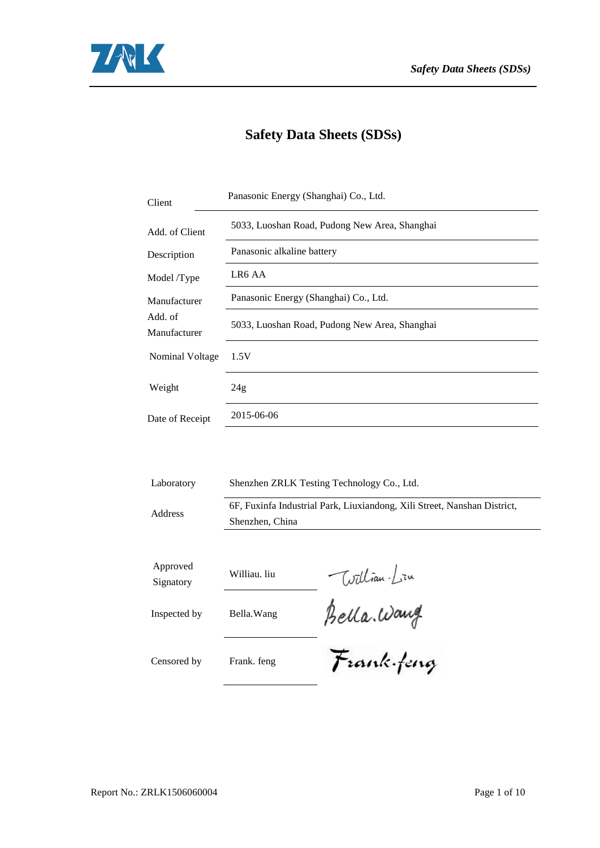

# **Safety Data Sheets (SDSs)**

| Client                  | Panasonic Energy (Shanghai) Co., Ltd.                                                       |  |  |  |  |  |  |  |
|-------------------------|---------------------------------------------------------------------------------------------|--|--|--|--|--|--|--|
| Add. of Client          | 5033, Luoshan Road, Pudong New Area, Shanghai                                               |  |  |  |  |  |  |  |
| Description             | Panasonic alkaline battery                                                                  |  |  |  |  |  |  |  |
| Model /Type             | LR6 AA                                                                                      |  |  |  |  |  |  |  |
| Manufacturer            | Panasonic Energy (Shanghai) Co., Ltd.                                                       |  |  |  |  |  |  |  |
| Add. of<br>Manufacturer | 5033, Luoshan Road, Pudong New Area, Shanghai                                               |  |  |  |  |  |  |  |
| Nominal Voltage         | 1.5V                                                                                        |  |  |  |  |  |  |  |
| Weight                  | 24g                                                                                         |  |  |  |  |  |  |  |
| Date of Receipt         | 2015-06-06                                                                                  |  |  |  |  |  |  |  |
|                         |                                                                                             |  |  |  |  |  |  |  |
| Laboratory              | Shenzhen ZRLK Testing Technology Co., Ltd.                                                  |  |  |  |  |  |  |  |
| Address                 | 6F, Fuxinfa Industrial Park, Liuxiandong, Xili Street, Nanshan District,<br>Shenzhen, China |  |  |  |  |  |  |  |
|                         |                                                                                             |  |  |  |  |  |  |  |
| Approved<br>Signatory   | William Lin<br>Williau. liu                                                                 |  |  |  |  |  |  |  |
| Inspected by            | Bella. Wang                                                                                 |  |  |  |  |  |  |  |

Bella Wang

Censored by Frank. feng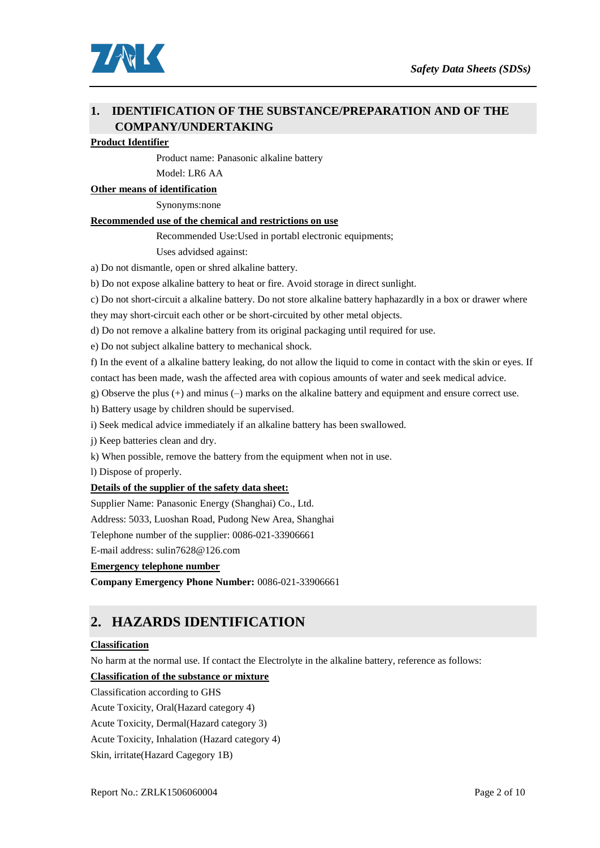

### **1. IDENTIFICATION OF THE SUBSTANCE/PREPARATION AND OF THE COMPANY/UNDERTAKING**

#### **Product Identifier**

Product name: Panasonic alkaline battery

Model: LR6 AA

**Other means of identification**

Synonyms:none

#### **Recommended use of the chemical and restrictions on use**

Recommended Use:Used in portabl electronic equipments;

Uses advidsed against:

a) Do not dismantle, open or shred alkaline battery.

b) Do not expose alkaline battery to heat or fire. Avoid storage in direct sunlight.

c) Do not short-circuit a alkaline battery. Do not store alkaline battery haphazardly in a box or drawer where

they may short-circuit each other or be short-circuited by other metal objects.

d) Do not remove a alkaline battery from its original packaging until required for use.

e) Do not subject alkaline battery to mechanical shock.

f) In the event of a alkaline battery leaking, do not allow the liquid to come in contact with the skin or eyes. If contact has been made, wash the affected area with copious amounts of water and seek medical advice.

g) Observe the plus (+) and minus (–) marks on the alkaline battery and equipment and ensure correct use.

h) Battery usage by children should be supervised.

i) Seek medical advice immediately if an alkaline battery has been swallowed.

j) Keep batteries clean and dry.

k) When possible, remove the battery from the equipment when not in use.

l) Dispose of properly.

#### **Details of the supplier of the safety data sheet:**

Supplier Name: Panasonic Energy (Shanghai) Co., Ltd.

Address: 5033, Luoshan Road, Pudong New Area, Shanghai

Telephone number of the supplier: 0086-021-33906661

E-mail address: sulin7628@126.com

#### **Emergency telephone number**

**Company Emergency Phone Number:** 0086-021-33906661

### **2. HAZARDS IDENTIFICATION**

#### **Classification**

No harm at the normal use. If contact the Electrolyte in the alkaline battery, reference as follows:

#### **Classification of the substance or mixture**

Classification according to GHS

Acute Toxicity, Oral(Hazard category 4)

Acute Toxicity, Dermal(Hazard category 3)

Acute Toxicity, Inhalation (Hazard category 4)

Skin, irritate(Hazard Cagegory 1B)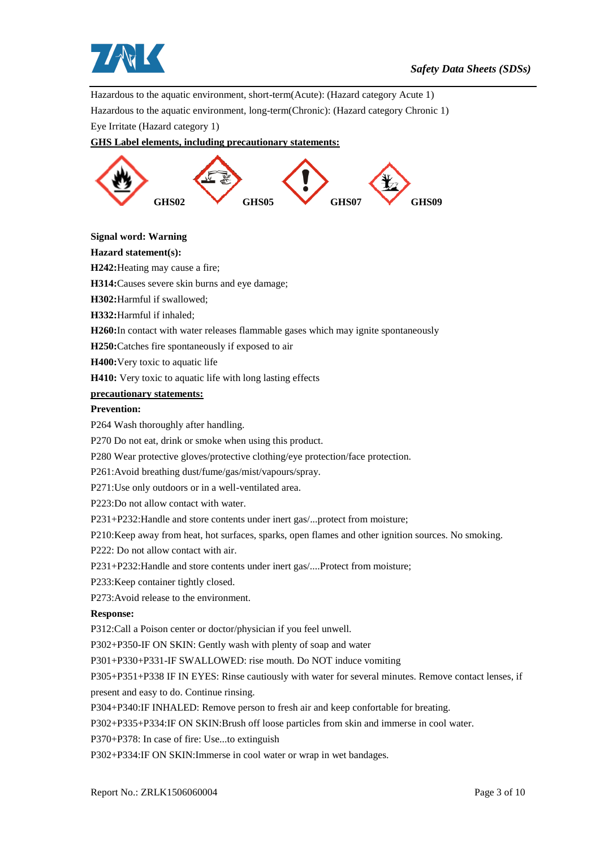

Hazardous to the aquatic environment, short-term(Acute): (Hazard category Acute 1)

Hazardous to the aquatic environment, long-term(Chronic): (Hazard category Chronic 1)

Eye Irritate (Hazard category 1)

#### **GHS Label elements, including precautionary statements:**



**Signal word: Warning**

#### **Hazard statement(s):**

**H242:**Heating may cause a fire;

**H314:**Causes severe skin burns and eye damage;

**H302:**Harmful if swallowed;

**H332:**Harmful if inhaled;

**H260:**In contact with water releases flammable gases which may ignite spontaneously

**H250:**Catches fire spontaneously if exposed to air

**H400:**Very toxic to aquatic life

**H410:** Very toxic to aquatic life with long lasting effects

#### **precautionary statements:**

#### **Prevention:**

P264 Wash thoroughly after handling.

P270 Do not eat, drink or smoke when using this product.

P280 Wear protective gloves/protective clothing/eye protection/face protection.

P261:Avoid breathing dust/fume/gas/mist/vapours/spray.

P271:Use only outdoors or in a well-ventilated area.

P223:Do not allow contact with water.

P231+P232:Handle and store contents under inert gas/...protect from moisture;

P210:Keep away from heat, hot surfaces, sparks, open flames and other ignition sources. No smoking.

P222: Do not allow contact with air.

P231+P232:Handle and store contents under inert gas/....Protect from moisture;

P233:Keep container tightly closed.

P273:Avoid release to the environment.

#### **Response:**

P312:Call a Poison center or doctor/physician if you feel unwell.

P302+P350-IF ON SKIN: Gently wash with plenty of soap and water

P301+P330+P331-IF SWALLOWED: rise mouth. Do NOT induce vomiting

P305+P351+P338 IF IN EYES: Rinse cautiously with water for several minutes. Remove contact lenses, if present and easy to do. Continue rinsing.

P304+P340:IF INHALED: Remove person to fresh air and keep confortable for breating.

P302+P335+P334:IF ON SKIN:Brush off loose particles from skin and immerse in cool water.

P370+P378: In case of fire: Use...to extinguish

P302+P334:IF ON SKIN:Immerse in cool water or wrap in wet bandages.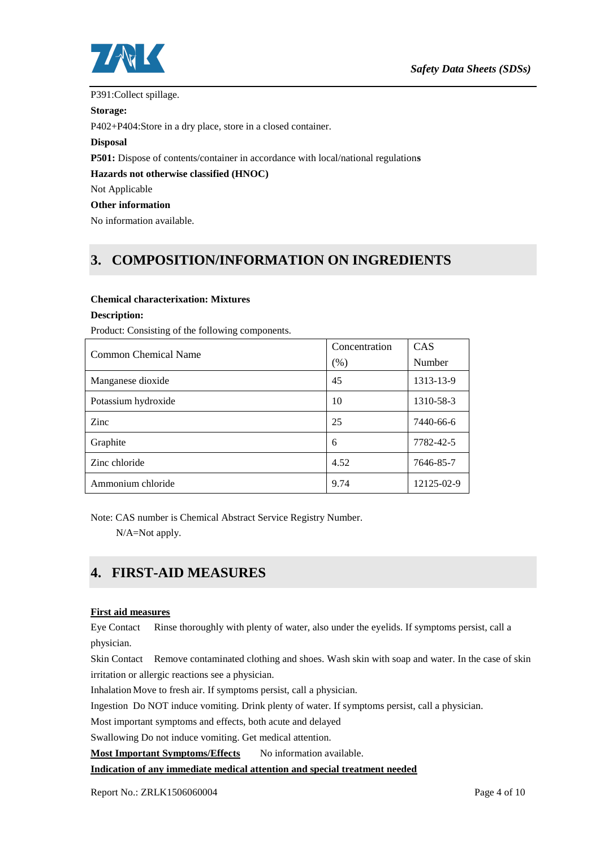

#### P391:Collect spillage.

#### **Storage:**

P402+P404:Store in a dry place, store in a closed container.

#### **Disposal**

**P501:** Dispose of contents/container in accordance with local/national regulation**s**

#### **Hazards not otherwise classified (HNOC)**

Not Applicable

#### **Other information**

No information available.

### **3. COMPOSITION/INFORMATION ON INGREDIENTS**

#### **Chemical characterixation: Mixtures**

#### **Description:**

Product: Consisting of the following components.

| Common Chemical Name | Concentration | CAS        |
|----------------------|---------------|------------|
|                      | (% )          | Number     |
| Manganese dioxide    | 45            | 1313-13-9  |
| Potassium hydroxide  | 10            | 1310-58-3  |
| Zinc                 | 25            | 7440-66-6  |
| Graphite             | 6             | 7782-42-5  |
| Zinc chloride        | 4.52          | 7646-85-7  |
| Ammonium chloride    | 9.74          | 12125-02-9 |

Note: CAS number is Chemical Abstract Service Registry Number.

N/A=Not apply.

### **4. FIRST-AID MEASURES**

#### **First aid measures**

Eye Contact Rinse thoroughly with plenty of water, also under the eyelids. If symptoms persist, call a physician.

Skin Contact Remove contaminated clothing and shoes. Wash skin with soap and water. In the case of skin irritation or allergic reactions see a physician.

Inhalation Move to fresh air. If symptoms persist, call a physician.

Ingestion Do NOT induce vomiting. Drink plenty of water. If symptoms persist, call a physician.

Most important symptoms and effects, both acute and delayed

Swallowing Do not induce vomiting. Get medical attention.

**Most Important Symptoms/Effects** No information available.

#### **Indication of any immediate medical attention and special treatment needed**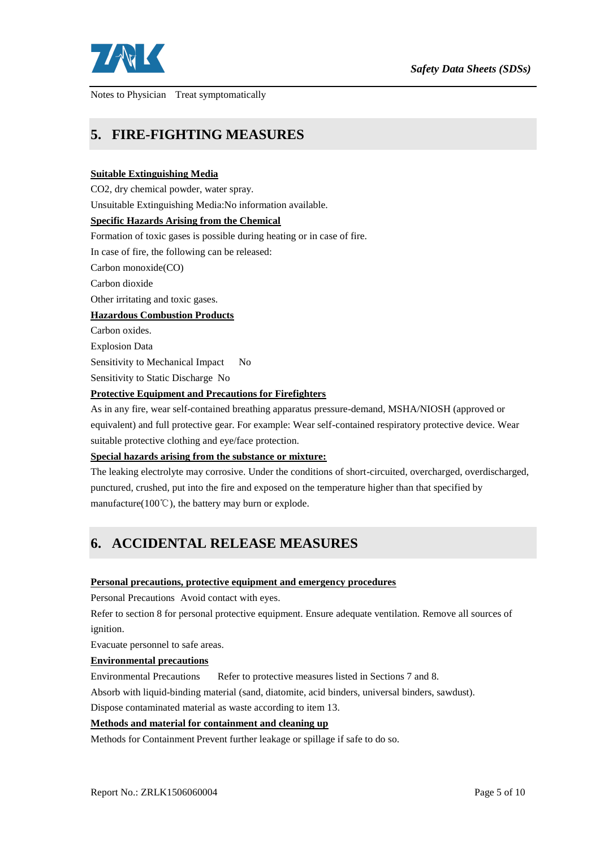

Notes to Physician Treat symptomatically

### **5. FIRE-FIGHTING MEASURES**

#### **Suitable Extinguishing Media**

CO2, dry chemical powder, water spray.

Unsuitable Extinguishing Media:No information available.

#### **Specific Hazards Arising from the Chemical**

Formation of toxic gases is possible during heating or in case of fire.

In case of fire, the following can be released:

Carbon monoxide(CO)

Carbon dioxide

Other irritating and toxic gases.

#### **Hazardous Combustion Products**

Carbon oxides.

Explosion Data

Sensitivity to Mechanical Impact No

Sensitivity to Static Discharge No

#### **Protective Equipment and Precautions for Firefighters**

As in any fire, wear self-contained breathing apparatus pressure-demand, MSHA/NIOSH (approved or equivalent) and full protective gear. For example: Wear self-contained respiratory protective device. Wear suitable protective clothing and eye/face protection.

#### **Special hazards arising from the substance or mixture:**

The leaking electrolyte may corrosive. Under the conditions of short-circuited, overcharged, overdischarged, punctured, crushed, put into the fire and exposed on the temperature higher than that specified by manufacture(100℃), the battery may burn or explode.

# **6. ACCIDENTAL RELEASE MEASURES**

#### **Personal precautions, protective equipment and emergency procedures**

Personal Precautions Avoid contact with eyes.

Refer to section 8 for personal protective equipment. Ensure adequate ventilation. Remove all sources of ignition.

Evacuate personnel to safe areas.

#### **Environmental precautions**

Environmental Precautions Refer to protective measures listed in Sections 7 and 8.

Absorb with liquid-binding material (sand, diatomite, acid binders, universal binders, sawdust).

Dispose contaminated material as waste according to item 13.

#### **Methods and material for containment and cleaning up**

Methods for Containment Prevent further leakage or spillage if safe to do so.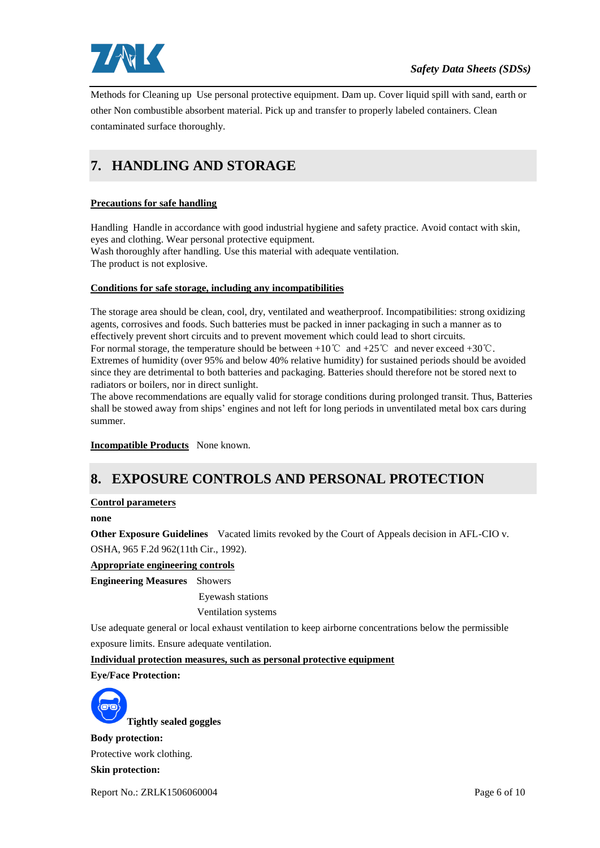

Methods for Cleaning up Use personal protective equipment. Dam up. Cover liquid spill with sand, earth or other Non combustible absorbent material. Pick up and transfer to properly labeled containers. Clean contaminated surface thoroughly.

# **7. HANDLING AND STORAGE**

### **Precautions for safe handling**

Handling Handle in accordance with good industrial hygiene and safety practice. Avoid contact with skin, eyes and clothing. Wear personal protective equipment. Wash thoroughly after handling. Use this material with adequate ventilation.

The product is not explosive.

#### **Conditions for safe storage, including any incompatibilities**

The storage area should be clean, cool, dry, ventilated and weatherproof. Incompatibilities: strong oxidizing agents, corrosives and foods. Such batteries must be packed in inner packaging in such a manner as to effectively prevent short circuits and to prevent movement which could lead to short circuits. For normal storage, the temperature should be between +10°C and +25°C and never exceed +30°C. Extremes of humidity (over 95% and below 40% relative humidity) for sustained periods should be avoided since they are detrimental to both batteries and packaging. Batteries should therefore not be stored next to radiators or boilers, nor in direct sunlight.

The above recommendations are equally valid for storage conditions during prolonged transit. Thus, Batteries shall be stowed away from ships' engines and not left for long periods in unventilated metal box cars during summer.

**Incompatible Products** None known.

# **8. EXPOSURE CONTROLS AND PERSONAL PROTECTION**

#### **Control parameters**

**none**

**Other Exposure Guidelines** Vacated limits revoked by the Court of Appeals decision in AFL-CIO v. OSHA, 965 F.2d 962(11th Cir., 1992).

### **Appropriate engineering controls**

**Engineering Measures** Showers

Eyewash stations

Ventilation systems

Use adequate general or local exhaust ventilation to keep airborne concentrations below the permissible exposure limits. Ensure adequate ventilation.

**Individual protection measures, such as personal protective equipment**

**Eye/Face Protection:**



**Tightly sealed goggles**

**Body protection:**

Protective work clothing.

**Skin protection:**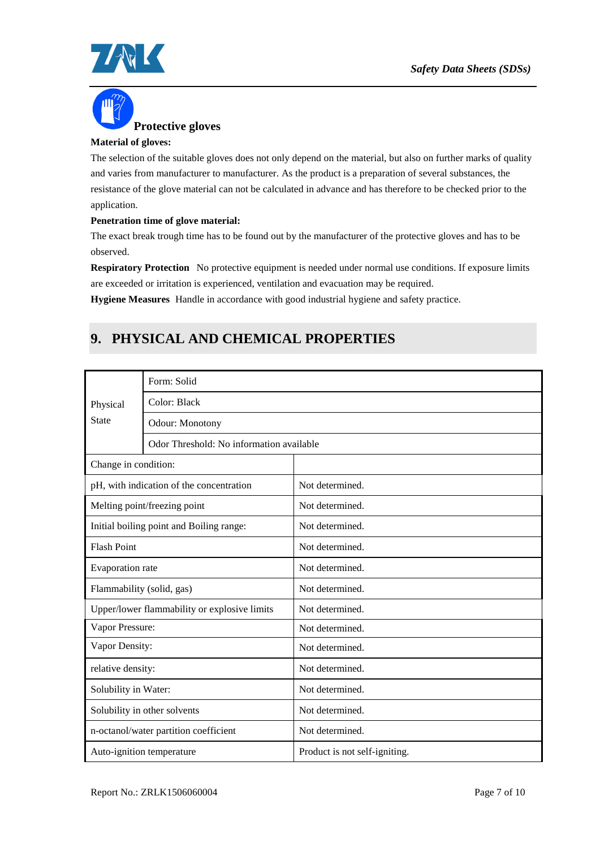



#### **Material of gloves:**

The selection of the suitable gloves does not only depend on the material, but also on further marks of quality and varies from manufacturer to manufacturer. As the product is a preparation of several substances, the resistance of the glove material can not be calculated in advance and has therefore to be checked prior to the application.

#### **Penetration time of glove material:**

The exact break trough time has to be found out by the manufacturer of the protective gloves and has to be observed.

**Respiratory Protection** No protective equipment is needed under normal use conditions. If exposure limits are exceeded or irritation is experienced, ventilation and evacuation may be required.

**Hygiene Measures** Handle in accordance with good industrial hygiene and safety practice.

# **9. PHYSICAL AND CHEMICAL PROPERTIES**

|                                              | Form: Solid                              |                               |  |  |  |
|----------------------------------------------|------------------------------------------|-------------------------------|--|--|--|
| Physical<br><b>State</b>                     | Color: Black                             |                               |  |  |  |
|                                              | Odour: Monotony                          |                               |  |  |  |
|                                              | Odor Threshold: No information available |                               |  |  |  |
| Change in condition:                         |                                          |                               |  |  |  |
|                                              | pH, with indication of the concentration | Not determined.               |  |  |  |
|                                              | Melting point/freezing point             | Not determined.               |  |  |  |
|                                              | Initial boiling point and Boiling range: | Not determined.               |  |  |  |
| <b>Flash Point</b>                           |                                          | Not determined.               |  |  |  |
| Evaporation rate                             |                                          | Not determined.               |  |  |  |
| Flammability (solid, gas)                    |                                          | Not determined.               |  |  |  |
| Upper/lower flammability or explosive limits |                                          | Not determined.               |  |  |  |
| Vapor Pressure:                              |                                          | Not determined.               |  |  |  |
| Vapor Density:                               |                                          | Not determined.               |  |  |  |
| relative density:                            |                                          | Not determined.               |  |  |  |
| Solubility in Water:                         |                                          | Not determined.               |  |  |  |
| Solubility in other solvents                 |                                          | Not determined.               |  |  |  |
| n-octanol/water partition coefficient        |                                          | Not determined.               |  |  |  |
| Auto-ignition temperature                    |                                          | Product is not self-igniting. |  |  |  |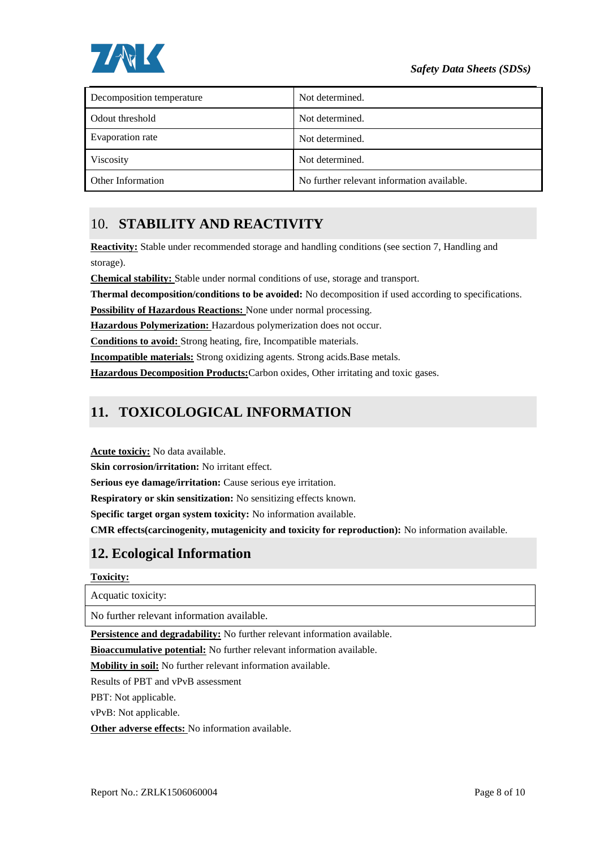

| Decomposition temperature | Not determined.                            |
|---------------------------|--------------------------------------------|
| Odout threshold           | Not determined.                            |
| Evaporation rate          | Not determined.                            |
| Viscosity                 | Not determined.                            |
| Other Information         | No further relevant information available. |

# 10. **STABILITY AND REACTIVITY**

**Reactivity:** Stable under recommended storage and handling conditions (see section 7, Handling and storage).

**Chemical stability:** Stable under normal conditions of use, storage and transport.

**Thermal decomposition/conditions to be avoided:** No decomposition if used according to specifications.

**Possibility of Hazardous Reactions:** None under normal processing.

**Hazardous Polymerization:** Hazardous polymerization does not occur.

**Conditions to avoid:** Strong heating, fire, Incompatible materials.

**Incompatible materials:** Strong oxidizing agents. Strong acids.Base metals.

**Hazardous Decomposition Products:**Carbon oxides, Other irritating and toxic gases.

# **11. TOXICOLOGICAL INFORMATION**

**Acute toxiciy:** No data available.

**Skin corrosion/irritation:** No irritant effect.

**Serious eye damage/irritation:** Cause serious eye irritation.

**Respiratory or skin sensitization:** No sensitizing effects known.

**Specific target organ system toxicity:** No information available.

**CMR effects(carcinogenity, mutagenicity and toxicity for reproduction):** No information available.

### **12. Ecological Information**

#### **Toxicity:**

Acquatic toxicity:

No further relevant information available.

**Persistence and degradability:** No further relevant information available.

**Bioaccumulative potential:** No further relevant information available.

**Mobility in soil:** No further relevant information available.

Results of PBT and vPvB assessment

PBT: Not applicable.

vPvB: Not applicable.

**Other adverse effects:** No information available.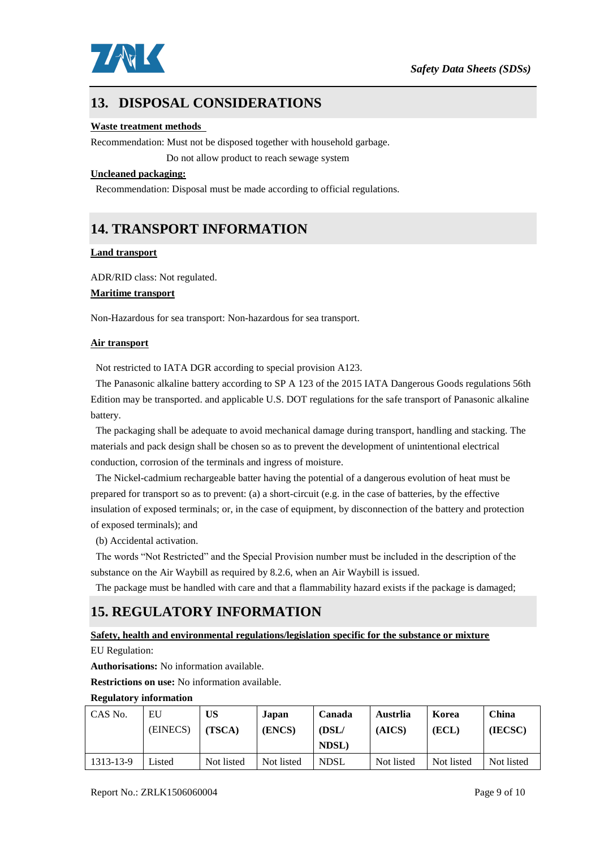

# **13. DISPOSAL CONSIDERATIONS**

#### **Waste treatment methods**

Recommendation: Must not be disposed together with household garbage.

Do not allow product to reach sewage system

#### **Uncleaned packaging:**

Recommendation: Disposal must be made according to official regulations.

### **14. TRANSPORT INFORMATION**

#### **Land transport**

ADR/RID class: Not regulated.

#### **Maritime transport**

Non-Hazardous for sea transport: Non-hazardous for sea transport.

#### **Air transport**

Not restricted to IATA DGR according to special provision A123.

The Panasonic alkaline battery according to SP A 123 of the 2015 IATA Dangerous Goods regulations 56th Edition may be transported. and applicable U.S. DOT regulations for the safe transport of Panasonic alkaline battery.

The packaging shall be adequate to avoid mechanical damage during transport, handling and stacking. The materials and pack design shall be chosen so as to prevent the development of unintentional electrical conduction, corrosion of the terminals and ingress of moisture.

The Nickel-cadmium rechargeable batter having the potential of a dangerous evolution of heat must be prepared for transport so as to prevent: (a) a short-circuit (e.g. in the case of batteries, by the effective insulation of exposed terminals; or, in the case of equipment, by disconnection of the battery and protection of exposed terminals); and

(b) Accidental activation.

The words "Not Restricted" and the Special Provision number must be included in the description of the substance on the Air Waybill as required by 8.2.6, when an Air Waybill is issued.

The package must be handled with care and that a flammability hazard exists if the package is damaged;

### **15. REGULATORY INFORMATION**

### **Safety, health and environmental regulations/legislation specific for the substance or mixture**

EU Regulation:

**Authorisations:** No information available.

**Restrictions on use:** No information available.

#### **Regulatory information**

| CAS No.   | EU<br>(EINECS) | <b>US</b><br>(TSCA) | Japan<br>(ENCS) | Canada<br>$1$ | Austrlia<br>(AICS) | Korea<br>(ECL) | China<br>(IECSC) |
|-----------|----------------|---------------------|-----------------|---------------|--------------------|----------------|------------------|
|           |                |                     |                 | <b>NDSL</b> ) |                    |                |                  |
| 1313-13-9 | Listed         | Not listed          | Not listed      | <b>NDSL</b>   | Not listed         | Not listed     | Not listed       |